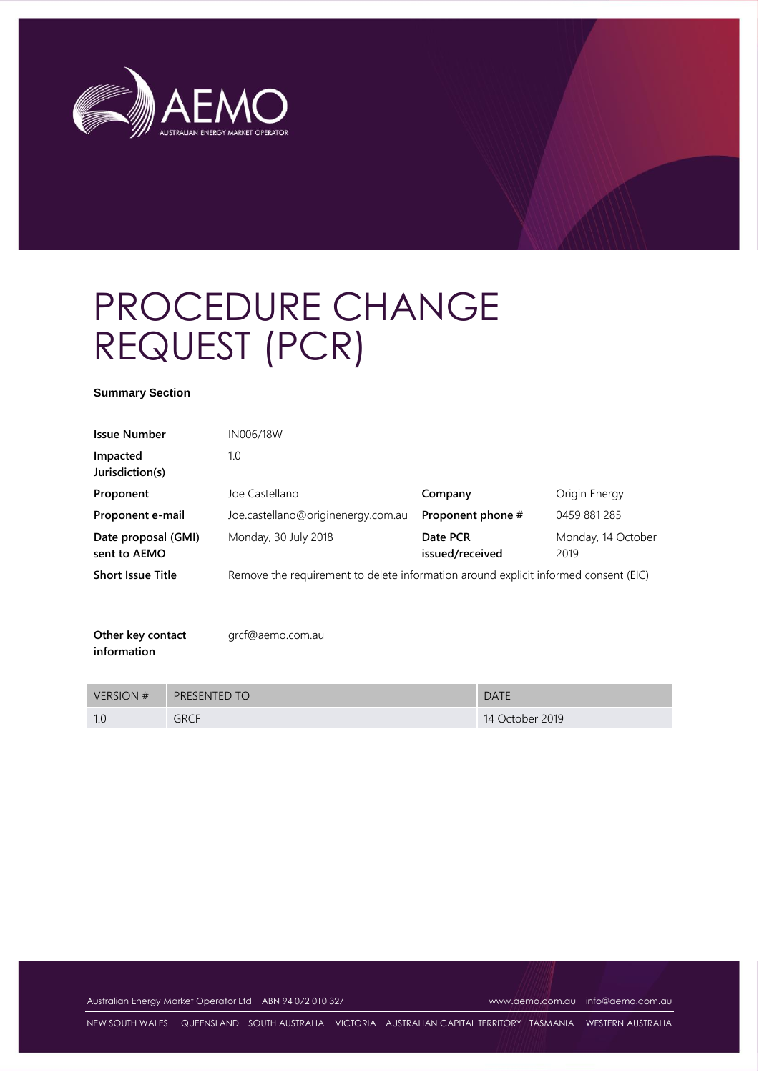

# PROCEDURE CHANGE REQUEST (PCR)

#### **Summary Section**

| <b>Issue Number</b>                 | IN006/18W                                                                           |                             |                            |
|-------------------------------------|-------------------------------------------------------------------------------------|-----------------------------|----------------------------|
| Impacted<br>Jurisdiction(s)         | 1.0                                                                                 |                             |                            |
| Proponent                           | Joe Castellano                                                                      | Company                     | Origin Energy              |
| Proponent e-mail                    | Joe.castellano@originenergy.com.au                                                  | Proponent phone #           | 0459 881 285               |
| Date proposal (GMI)<br>sent to AEMO | Monday, 30 July 2018                                                                | Date PCR<br>issued/received | Monday, 14 October<br>2019 |
| <b>Short Issue Title</b>            | Remove the requirement to delete information around explicit informed consent (EIC) |                             |                            |
|                                     |                                                                                     |                             |                            |
|                                     |                                                                                     |                             |                            |

| Other key contact | grcf@aemo.com.au |
|-------------------|------------------|
| information       |                  |

| <b>VERSION #</b> | <b>PRESENTED TO</b> | <b>DATE</b>     |
|------------------|---------------------|-----------------|
|                  | <b>GRCF</b>         | 14 October 2019 |

Australian Energy Market Operator Ltd ABN 94 072 010 327 [www.aemo.com.au](http://www.aemo.com.au/) [info@aemo.com.au](mailto:info@aemo.com.au)

NEW SOUTH WALES QUEENSLAND SOUTH AUSTRALIA VICTORIA AUSTRALIAN CAPITAL TERRITORY TASMANIA WESTERN AUSTRALIA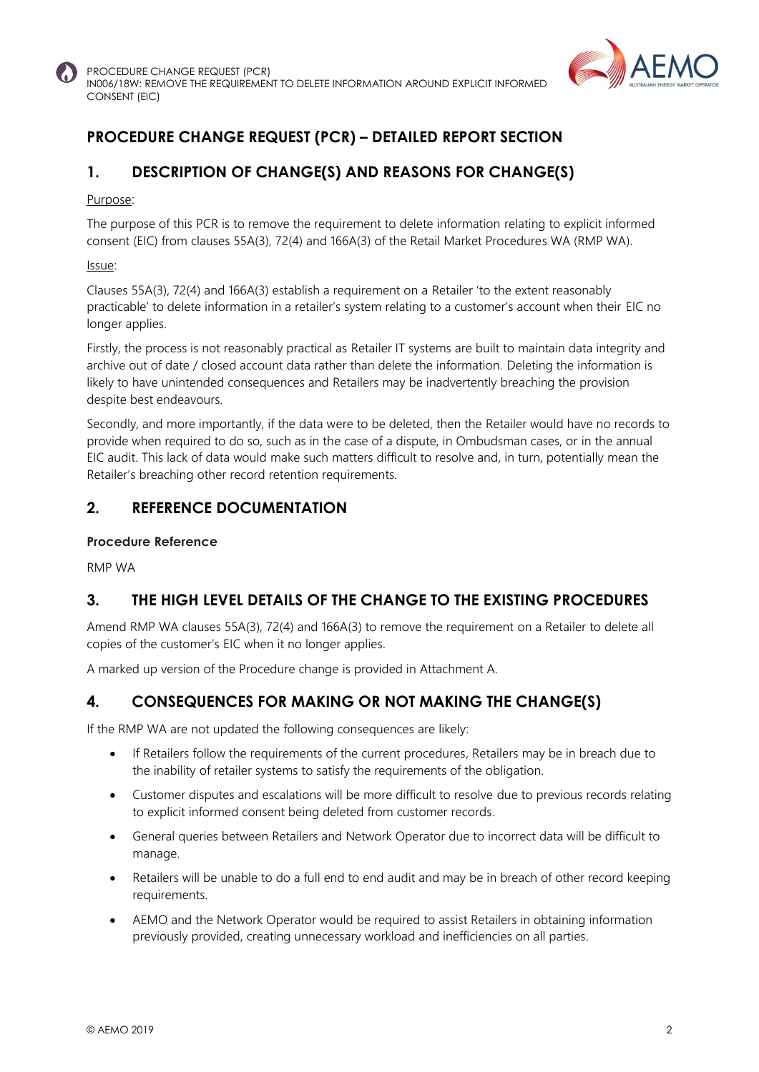



## **PROCEDURE CHANGE REQUEST (PCR) – DETAILED REPORT SECTION**

## **1. DESCRIPTION OF CHANGE(S) AND REASONS FOR CHANGE(S)**

#### Purpose:

The purpose of this PCR is to remove the requirement to delete information relating to explicit informed consent (EIC) from clauses 55A(3), 72(4) and 166A(3) of the Retail Market Procedures WA (RMP WA).

#### Issue:

Clauses 55A(3), 72(4) and 166A(3) establish a requirement on a Retailer 'to the extent reasonably practicable' to delete information in a retailer's system relating to a customer's account when their EIC no longer applies.

Firstly, the process is not reasonably practical as Retailer IT systems are built to maintain data integrity and archive out of date / closed account data rather than delete the information. Deleting the information is likely to have unintended consequences and Retailers may be inadvertently breaching the provision despite best endeavours.

Secondly, and more importantly, if the data were to be deleted, then the Retailer would have no records to provide when required to do so, such as in the case of a dispute, in Ombudsman cases, or in the annual EIC audit. This lack of data would make such matters difficult to resolve and, in turn, potentially mean the Retailer's breaching other record retention requirements.

## **2. REFERENCE DOCUMENTATION**

#### **Procedure Reference**

RMP WA

## **3. THE HIGH LEVEL DETAILS OF THE CHANGE TO THE EXISTING PROCEDURES**

Amend RMP WA clauses 55A(3), 72(4) and 166A(3) to remove the requirement on a Retailer to delete all copies of the customer's EIC when it no longer applies.

A marked up version of the Procedure change is provided in Attachment A.

## **4. CONSEQUENCES FOR MAKING OR NOT MAKING THE CHANGE(S)**

If the RMP WA are not updated the following consequences are likely:

- If Retailers follow the requirements of the current procedures, Retailers may be in breach due to the inability of retailer systems to satisfy the requirements of the obligation.
- Customer disputes and escalations will be more difficult to resolve due to previous records relating to explicit informed consent being deleted from customer records.
- General queries between Retailers and Network Operator due to incorrect data will be difficult to manage.
- Retailers will be unable to do a full end to end audit and may be in breach of other record keeping requirements.
- AEMO and the Network Operator would be required to assist Retailers in obtaining information previously provided, creating unnecessary workload and inefficiencies on all parties.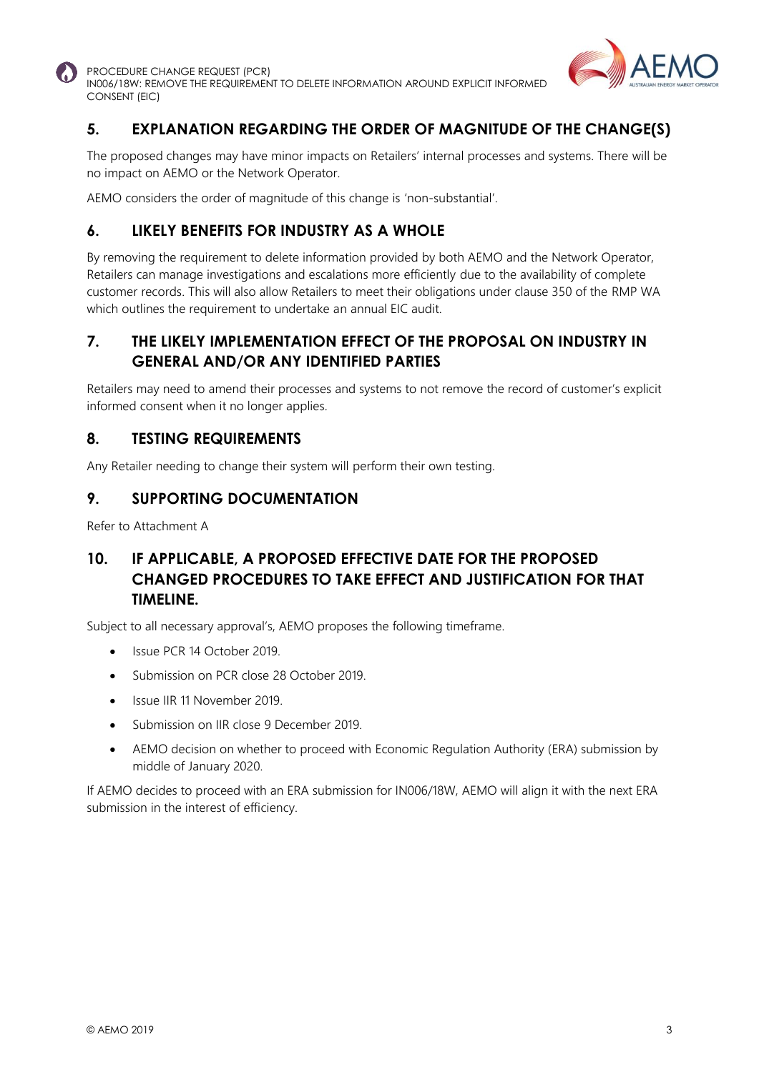

PROCEDURE CHANGE REQUEST (PCR) IN006/18W: REMOVE THE REQUIREMENT TO DELETE INFORMATION AROUND EXPLICIT INFORMED CONSENT (EIC)



## **5. EXPLANATION REGARDING THE ORDER OF MAGNITUDE OF THE CHANGE(S)**

The proposed changes may have minor impacts on Retailers' internal processes and systems. There will be no impact on AEMO or the Network Operator.

AEMO considers the order of magnitude of this change is 'non-substantial'.

## **6. LIKELY BENEFITS FOR INDUSTRY AS A WHOLE**

By removing the requirement to delete information provided by both AEMO and the Network Operator, Retailers can manage investigations and escalations more efficiently due to the availability of complete customer records. This will also allow Retailers to meet their obligations under clause 350 of the RMP WA which outlines the requirement to undertake an annual EIC audit.

#### **7. THE LIKELY IMPLEMENTATION EFFECT OF THE PROPOSAL ON INDUSTRY IN GENERAL AND/OR ANY IDENTIFIED PARTIES**

Retailers may need to amend their processes and systems to not remove the record of customer's explicit informed consent when it no longer applies.

#### **8. TESTING REQUIREMENTS**

Any Retailer needing to change their system will perform their own testing.

#### **9. SUPPORTING DOCUMENTATION**

Refer to Attachment A

#### **10. IF APPLICABLE, A PROPOSED EFFECTIVE DATE FOR THE PROPOSED CHANGED PROCEDURES TO TAKE EFFECT AND JUSTIFICATION FOR THAT TIMELINE.**

Subject to all necessary approval's, AEMO proposes the following timeframe.

- Issue PCR 14 October 2019.
- Submission on PCR close 28 October 2019.
- Issue IIR 11 November 2019.
- Submission on IIR close 9 December 2019.
- AEMO decision on whether to proceed with Economic Regulation Authority (ERA) submission by middle of January 2020.

If AEMO decides to proceed with an ERA submission for IN006/18W, AEMO will align it with the next ERA submission in the interest of efficiency.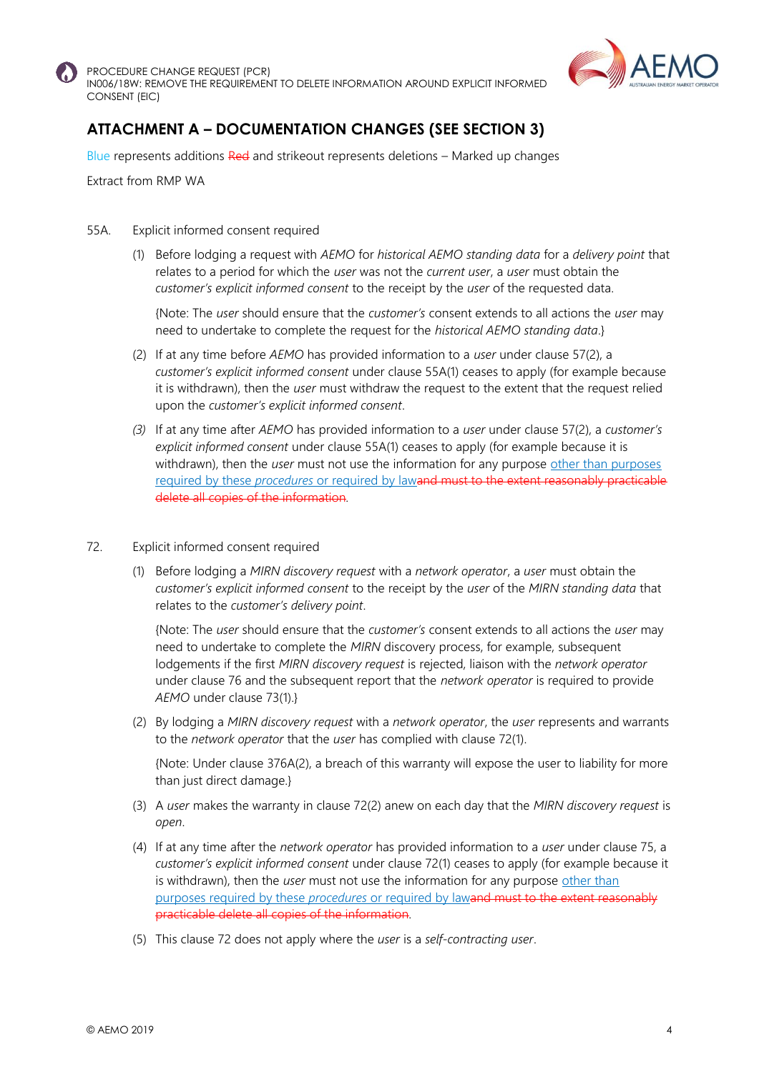

PROCEDURE CHANGE REQUEST (PCR) IN006/18W: REMOVE THE REQUIREMENT TO DELETE INFORMATION AROUND EXPLICIT INFORMED CONSENT (EIC)



## **ATTACHMENT A – DOCUMENTATION CHANGES (SEE SECTION 3)**

Blue represents additions Red and strikeout represents deletions – Marked up changes

Extract from RMP WA

- 55A. Explicit informed consent required
	- (1) Before lodging a request with *AEMO* for *historical AEMO standing data* for a *delivery point* that relates to a period for which the *user* was not the *current user*, a *user* must obtain the *customer's explicit informed consent* to the receipt by the *user* of the requested data.

{Note: The *user* should ensure that the *customer's* consent extends to all actions the *user* may need to undertake to complete the request for the *historical AEMO standing data*.}

- (2) If at any time before *AEMO* has provided information to a *user* under clause 57(2), a *customer's explicit informed consent* under clause 55A(1) ceases to apply (for example because it is withdrawn), then the *user* must withdraw the request to the extent that the request relied upon the *customer's explicit informed consent*.
- *(3)* If at any time after *AEMO* has provided information to a *user* under clause 57(2), a *customer's explicit informed consent* under clause 55A(1) ceases to apply (for example because it is withdrawn), then the *user* must not use the information for any purpose other than purposes required by these *procedures* or required by lawand must to the extent reasonably practicable delete all copies of the information*.*
- 72. Explicit informed consent required
	- (1) Before lodging a *MIRN discovery request* with a *network operator*, a *user* must obtain the *customer's explicit informed consent* to the receipt by the *user* of the *MIRN standing data* that relates to the *customer's delivery point*.

{Note: The *user* should ensure that the *customer's* consent extends to all actions the *user* may need to undertake to complete the *MIRN* discovery process, for example, subsequent lodgements if the first *MIRN discovery request* is rejected, liaison with the *network operator*  under clause 76 and the subsequent report that the *network operator* is required to provide *AEMO* under clause 73(1).}

(2) By lodging a *MIRN discovery request* with a *network operator*, the *user* represents and warrants to the *network operator* that the *user* has complied with clause 72(1).

{Note: Under clause 376A(2), a breach of this warranty will expose the user to liability for more than just direct damage.}

- (3) A *user* makes the warranty in clause 72(2) anew on each day that the *MIRN discovery request* is *open*.
- (4) If at any time after the *network operator* has provided information to a *user* under clause 75, a *customer's explicit informed consent* under clause 72(1) ceases to apply (for example because it is withdrawn), then the *user* must not use the information for any purpose other than purposes required by these *procedures* or required by lawand must to the extent reasonably practicable delete all copies of the information*.*
- (5) This clause 72 does not apply where the *user* is a *self-contracting user*.